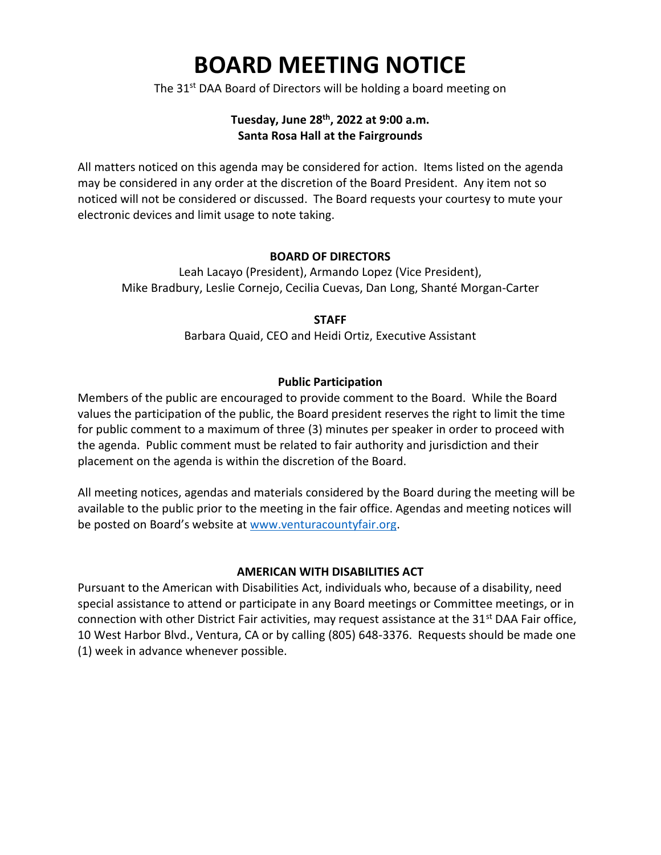# **BOARD MEETING NOTICE**

The 31<sup>st</sup> DAA Board of Directors will be holding a board meeting on

# **Tuesday, June 28th, 2022 at 9:00 a.m. Santa Rosa Hall at the Fairgrounds**

All matters noticed on this agenda may be considered for action. Items listed on the agenda may be considered in any order at the discretion of the Board President. Any item not so noticed will not be considered or discussed. The Board requests your courtesy to mute your electronic devices and limit usage to note taking.

#### **BOARD OF DIRECTORS**

Leah Lacayo (President), Armando Lopez (Vice President), Mike Bradbury, Leslie Cornejo, Cecilia Cuevas, Dan Long, Shanté Morgan-Carter

**STAFF**

Barbara Quaid, CEO and Heidi Ortiz, Executive Assistant

#### **Public Participation**

Members of the public are encouraged to provide comment to the Board. While the Board values the participation of the public, the Board president reserves the right to limit the time for public comment to a maximum of three (3) minutes per speaker in order to proceed with the agenda. Public comment must be related to fair authority and jurisdiction and their placement on the agenda is within the discretion of the Board.

All meeting notices, agendas and materials considered by the Board during the meeting will be available to the public prior to the meeting in the fair office. Agendas and meeting notices will be posted on Board's website at [www.venturacountyfair.org.](http://www.venturacountyfair.org/)

#### **AMERICAN WITH DISABILITIES ACT**

Pursuant to the American with Disabilities Act, individuals who, because of a disability, need special assistance to attend or participate in any Board meetings or Committee meetings, or in connection with other District Fair activities, may request assistance at the  $31<sup>st</sup>$  DAA Fair office, 10 West Harbor Blvd., Ventura, CA or by calling (805) 648-3376. Requests should be made one (1) week in advance whenever possible.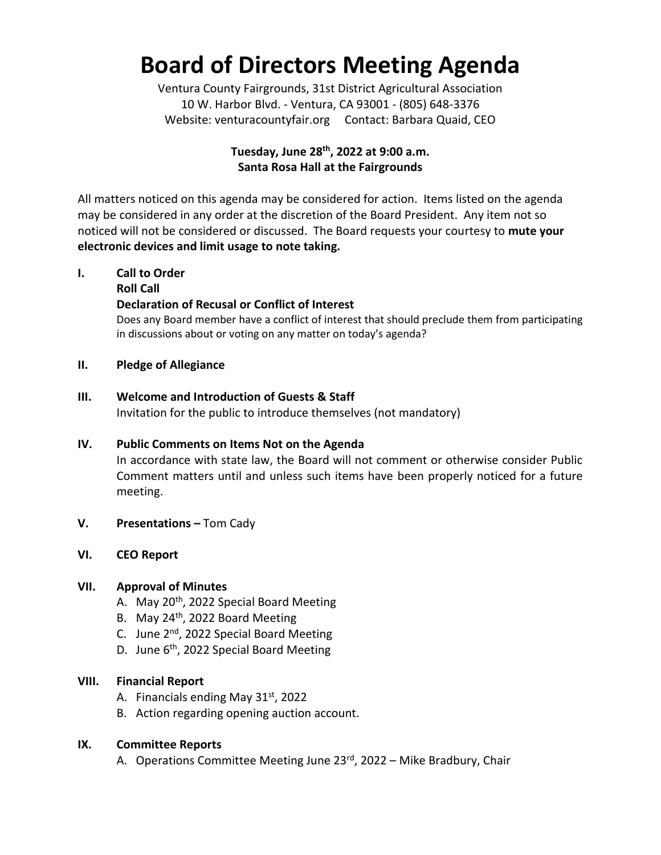# **Board of Directors Meeting Agenda**

Ventura County Fairgrounds, 31st District Agricultural Association 10 W. Harbor Blvd. - Ventura, CA 93001 - (805) 648-3376 Website: venturacountyfair.org Contact: Barbara Quaid, CEO

# **Tuesday, June 28th, 2022 at 9:00 a.m. Santa Rosa Hall at the Fairgrounds**

All matters noticed on this agenda may be considered for action. Items listed on the agenda may be considered in any order at the discretion of the Board President. Any item not so noticed will not be considered or discussed. The Board requests your courtesy to **mute your electronic devices and limit usage to note taking.**

# **I. Call to Order**

### **Roll Call**

# **Declaration of Recusal or Conflict of Interest**

Does any Board member have a conflict of interest that should preclude them from participating in discussions about or voting on any matter on today's agenda?

### **II. Pledge of Allegiance**

### **III. Welcome and Introduction of Guests & Staff**

Invitation for the public to introduce themselves (not mandatory)

# **IV. Public Comments on Items Not on the Agenda**

In accordance with state law, the Board will not comment or otherwise consider Public Comment matters until and unless such items have been properly noticed for a future meeting.

**V. Presentations –** Tom Cady

# **VI. CEO Report**

# **VII. Approval of Minutes**

- A. May 20<sup>th</sup>, 2022 Special Board Meeting
- B. May 24<sup>th</sup>, 2022 Board Meeting
- C. June  $2^{nd}$ , 2022 Special Board Meeting
- D. June 6<sup>th</sup>, 2022 Special Board Meeting

#### **VIII. Financial Report**

- A. Financials ending May  $31<sup>st</sup>$ , 2022
- B. Action regarding opening auction account.

# **IX. Committee Reports**

A. Operations Committee Meeting June  $23^{rd}$ , 2022 – Mike Bradbury, Chair